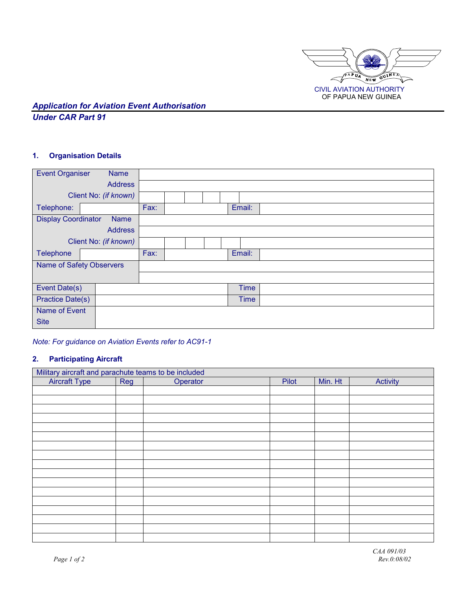

## *Application for Aviation Event Authorisation Under CAR Part 91*

### **1. Organisation Details**

| <b>Event Organiser</b>          | <b>Name</b>           |      |  |             |  |
|---------------------------------|-----------------------|------|--|-------------|--|
|                                 | <b>Address</b>        |      |  |             |  |
|                                 | Client No: (if known) |      |  |             |  |
| Telephone:                      |                       | Fax: |  | Email:      |  |
| <b>Display Coordinator</b>      | <b>Name</b>           |      |  |             |  |
|                                 | <b>Address</b>        |      |  |             |  |
| Client No: (if known)           |                       |      |  |             |  |
| <b>Telephone</b>                |                       | Fax: |  | Email:      |  |
| <b>Name of Safety Observers</b> |                       |      |  |             |  |
|                                 |                       |      |  |             |  |
| Event Date(s)                   |                       |      |  | <b>Time</b> |  |
| <b>Practice Date(s)</b>         |                       |      |  | <b>Time</b> |  |
| Name of Event                   |                       |      |  |             |  |
| <b>Site</b>                     |                       |      |  |             |  |

*Note: For guidance on Aviation Events refer to AC91-1* 

## **2. Participating Aircraft**

| Military aircraft and parachute teams to be included |     |          |       |         |          |
|------------------------------------------------------|-----|----------|-------|---------|----------|
| <b>Aircraft Type</b>                                 | Reg | Operator | Pilot | Min. Ht | Activity |
|                                                      |     |          |       |         |          |
|                                                      |     |          |       |         |          |
|                                                      |     |          |       |         |          |
|                                                      |     |          |       |         |          |
|                                                      |     |          |       |         |          |
|                                                      |     |          |       |         |          |
|                                                      |     |          |       |         |          |
|                                                      |     |          |       |         |          |
|                                                      |     |          |       |         |          |
|                                                      |     |          |       |         |          |
|                                                      |     |          |       |         |          |
|                                                      |     |          |       |         |          |
|                                                      |     |          |       |         |          |
|                                                      |     |          |       |         |          |
|                                                      |     |          |       |         |          |
|                                                      |     |          |       |         |          |
|                                                      |     |          |       |         |          |